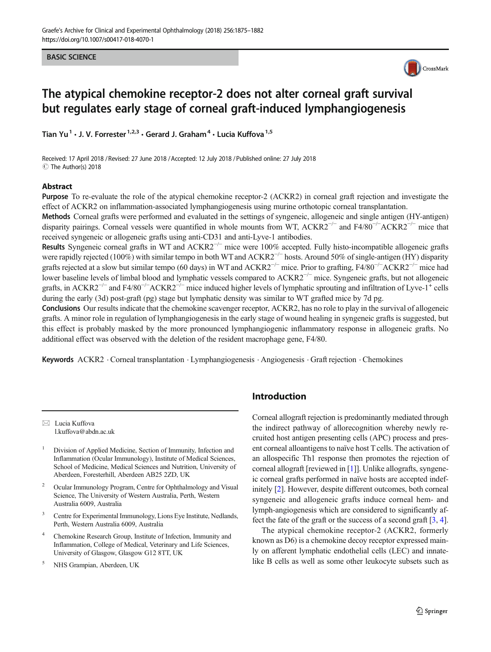#### BASIC SCIENCE



# The atypical chemokine receptor-2 does not alter corneal graft survival but regulates early stage of corneal graft-induced lymphangiogenesis

Tian Yu<sup>1</sup>  $\cdot$  J. V. Forrester<sup>1,2,3</sup>  $\cdot$  Gerard J. Graham<sup>4</sup>  $\cdot$  Lucia Kuffova<sup>1,5</sup>

Received: 17 April 2018 / Revised: 27 June 2018 /Accepted: 12 July 2018 /Published online: 27 July 2018  $\circledcirc$  The Author(s) 2018

#### Abstract

Purpose To re-evaluate the role of the atypical chemokine receptor-2 (ACKR2) in corneal graft rejection and investigate the effect of ACKR2 on inflammation-associated lymphangiogenesis using murine orthotopic corneal transplantation.

Methods Corneal grafts were performed and evaluated in the settings of syngeneic, allogeneic and single antigen (HY-antigen) disparity pairings. Corneal vessels were quantified in whole mounts from WT, ACKR2<sup>-/-</sup> and F4/80<sup>-/-</sup>ACKR2<sup>-/-</sup> mice that received syngeneic or allogeneic grafts using anti-CD31 and anti-Lyve-1 antibodies.

Results Syngeneic corneal grafts in WT and ACKR2<sup>-/-</sup> mice were 100% accepted. Fully histo-incompatible allogeneic grafts were rapidly rejected (100%) with similar tempo in both WT and ACKR2<sup> $-/-$ </sup> hosts. Around 50% of single-antigen (HY) disparity grafts rejected at a slow but similar tempo (60 days) in WT and ACKR2<sup>-/-</sup> mice. Prior to grafting, F4/80<sup>-/-</sup>ACKR2<sup>-/-</sup> mice had lower baseline levels of limbal blood and lymphatic vessels compared to ACKR2−/<sup>−</sup> mice. Syngeneic grafts, but not allogeneic grafts, in ACKR2<sup>-/−</sup> and F4/80<sup>-/−</sup>ACKR2<sup>-/−</sup> mice induced higher levels of lymphatic sprouting and infiltration of Lyve-1<sup>+</sup> cells during the early (3d) post-graft (pg) stage but lymphatic density was similar to WT grafted mice by 7d pg.

Conclusions Our results indicate that the chemokine scavenger receptor, ACKR2, has no role to play in the survival of allogeneic grafts. A minor role in regulation of lymphangiogenesis in the early stage of wound healing in syngeneic grafts is suggested, but this effect is probably masked by the more pronounced lymphangiogenic inflammatory response in allogeneic grafts. No additional effect was observed with the deletion of the resident macrophage gene, F4/80.

Keywords ACKR2 . Corneal transplantation . Lymphangiogenesis . Angiogenesis . Graft rejection . Chemokines

 $\boxtimes$  Lucia Kuffova [l.kuffova@abdn.ac.uk](mailto:l.kuffova@abdn.ac.uk)

- <sup>1</sup> Division of Applied Medicine, Section of Immunity, Infection and Inflammation (Ocular Immunology), Institute of Medical Sciences, School of Medicine, Medical Sciences and Nutrition, University of Aberdeen, Foresterhill, Aberdeen AB25 2ZD, UK
- <sup>2</sup> Ocular Immunology Program, Centre for Ophthalmology and Visual Science, The University of Western Australia, Perth, Western Australia 6009, Australia
- <sup>3</sup> Centre for Experimental Immunology, Lions Eye Institute, Nedlands, Perth, Western Australia 6009, Australia
- <sup>4</sup> Chemokine Research Group, Institute of Infection, Immunity and Inflammation, College of Medical, Veterinary and Life Sciences, University of Glasgow, Glasgow G12 8TT, UK
- <sup>5</sup> NHS Grampian, Aberdeen, UK

# Introduction

Corneal allograft rejection is predominantly mediated through the indirect pathway of allorecognition whereby newly recruited host antigen presenting cells (APC) process and present corneal alloantigens to naïve host T cells. The activation of an allospecific Th1 response then promotes the rejection of corneal allograft [reviewed in [\[1](#page-6-0)]]. Unlike allografts, syngeneic corneal grafts performed in naïve hosts are accepted indefinitely [\[2](#page-6-0)]. However, despite different outcomes, both corneal syngeneic and allogeneic grafts induce corneal hem- and lymph-angiogenesis which are considered to significantly affect the fate of the graft or the success of a second graft [\[3,](#page-6-0) [4\]](#page-6-0).

The atypical chemokine receptor-2 (ACKR2, formerly known as D6) is a chemokine decoy receptor expressed mainly on afferent lymphatic endothelial cells (LEC) and innatelike B cells as well as some other leukocyte subsets such as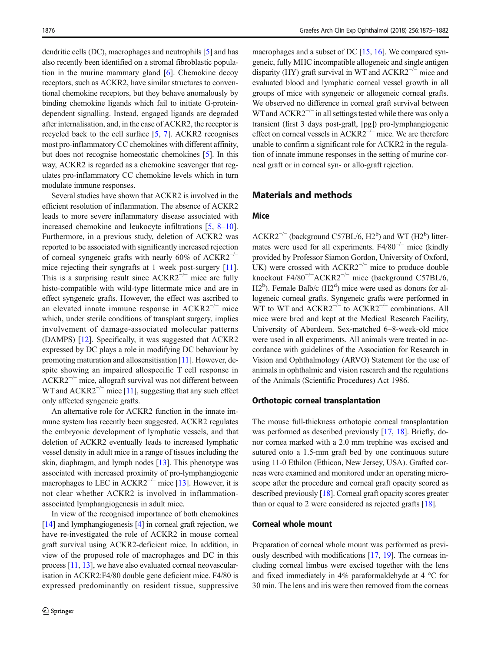dendritic cells (DC), macrophages and neutrophils [[5\]](#page-6-0) and has also recently been identified on a stromal fibroblastic population in the murine mammary gland [[6\]](#page-7-0). Chemokine decoy receptors, such as ACKR2, have similar structures to conventional chemokine receptors, but they behave anomalously by binding chemokine ligands which fail to initiate G-proteindependent signalling. Instead, engaged ligands are degraded after internalisation, and, in the case of ACKR2, the receptor is recycled back to the cell surface [[5](#page-6-0), [7](#page-7-0)]. ACKR2 recognises most pro-inflammatory CC chemokines with different affinity, but does not recognise homeostatic chemokines [\[5](#page-6-0)]. In this way, ACKR2 is regarded as a chemokine scavenger that regulates pro-inflammatory CC chemokine levels which in turn modulate immune responses.

Several studies have shown that ACKR2 is involved in the efficient resolution of inflammation. The absence of ACKR2 leads to more severe inflammatory disease associated with increased chemokine and leukocyte infiltrations [\[5](#page-6-0), [8](#page-7-0)–[10](#page-7-0)]. Furthermore, in a previous study, deletion of ACKR2 was reported to be associated with significantly increased rejection of corneal syngeneic grafts with nearly 60% of ACKR2−/<sup>−</sup> mice rejecting their syngrafts at 1 week post-surgery [[11](#page-7-0)]. This is a surprising result since  $ACKR2^{-/-}$  mice are fully histo-compatible with wild-type littermate mice and are in effect syngeneic grafts. However, the effect was ascribed to an elevated innate immune response in ACKR2−/<sup>−</sup> mice which, under sterile conditions of transplant surgery, implies involvement of damage-associated molecular patterns (DAMPS) [\[12\]](#page-7-0). Specifically, it was suggested that ACKR2 expressed by DC plays a role in modifying DC behaviour by promoting maturation and allosensitisation [\[11\]](#page-7-0). However, despite showing an impaired allospecific T cell response in ACKR2−/<sup>−</sup> mice, allograft survival was not different between WT and ACKR2<sup>-/−</sup> mice [\[11\]](#page-7-0), suggesting that any such effect only affected syngeneic grafts.

An alternative role for ACKR2 function in the innate immune system has recently been suggested. ACKR2 regulates the embryonic development of lymphatic vessels, and that deletion of ACKR2 eventually leads to increased lymphatic vessel density in adult mice in a range of tissues including the skin, diaphragm, and lymph nodes [\[13](#page-7-0)]. This phenotype was associated with increased proximity of pro-lymphangiogenic macrophages to LEC in  $ACKR2^{-/-}$  mice [\[13](#page-7-0)]. However, it is not clear whether ACKR2 is involved in inflammationassociated lymphangiogenesis in adult mice.

In view of the recognised importance of both chemokines [\[14\]](#page-7-0) and lymphangiogenesis [[4\]](#page-6-0) in corneal graft rejection, we have re-investigated the role of ACKR2 in mouse corneal graft survival using ACKR2-deficient mice. In addition, in view of the proposed role of macrophages and DC in this process [\[11,](#page-7-0) [13\]](#page-7-0), we have also evaluated corneal neovascularisation in ACKR2:F4/80 double gene deficient mice. F4/80 is expressed predominantly on resident tissue, suppressive macrophages and a subset of DC [\[15,](#page-7-0) [16\]](#page-7-0). We compared syngeneic, fully MHC incompatible allogeneic and single antigen disparity (HY) graft survival in WT and  $ACKR2^{-/-}$  mice and evaluated blood and lymphatic corneal vessel growth in all groups of mice with syngeneic or allogeneic corneal grafts. We observed no difference in corneal graft survival between WT and  $ACKR2^{-/-}$  in all settings tested while there was only a transient (first 3 days post-graft, [pg]) pro-lymphangiogenic effect on corneal vessels in ACKR2−/<sup>−</sup> mice. We are therefore unable to confirm a significant role for ACKR2 in the regulation of innate immune responses in the setting of murine corneal graft or in corneal syn- or allo-graft rejection.

# Materials and methods

### Mice

 $ACKR2^{-/-}$  (background C57BL/6, H2<sup>b</sup>) and WT (H2<sup>b</sup>) littermates were used for all experiments. F4/80<sup>-/−</sup> mice (kindly provided by Professor Siamon Gordon, University of Oxford, UK) were crossed with  $ACKR2^{-/-}$  mice to produce double knockout F4/80−/<sup>−</sup> ACKR2−/<sup>−</sup> mice (background C57BL/6,  $H2^b$ ). Female Balb/c ( $H2^d$ ) mice were used as donors for allogeneic corneal grafts. Syngeneic grafts were performed in WT to WT and  $ACKR2^{-/-}$  to  $ACKR2^{-/-}$  combinations. All mice were bred and kept at the Medical Research Facility, University of Aberdeen. Sex-matched 6–8-week-old mice were used in all experiments. All animals were treated in accordance with guidelines of the Association for Research in Vision and Ophthalmology (ARVO) Statement for the use of animals in ophthalmic and vision research and the regulations of the Animals (Scientific Procedures) Act 1986.

#### Orthotopic corneal transplantation

The mouse full-thickness orthotopic corneal transplantation was performed as described previously [[17](#page-7-0), [18\]](#page-7-0). Briefly, donor cornea marked with a 2.0 mm trephine was excised and sutured onto a 1.5-mm graft bed by one continuous suture using 11-0 Ethilon (Ethicon, New Jersey, USA). Grafted corneas were examined and monitored under an operating microscope after the procedure and corneal graft opacity scored as described previously [\[18\]](#page-7-0). Corneal graft opacity scores greater than or equal to 2 were considered as rejected grafts [[18\]](#page-7-0).

## Corneal whole mount

Preparation of corneal whole mount was performed as previously described with modifications [\[17](#page-7-0), [19](#page-7-0)]. The corneas including corneal limbus were excised together with the lens and fixed immediately in 4% paraformaldehyde at 4 °C for 30 min. The lens and iris were then removed from the corneas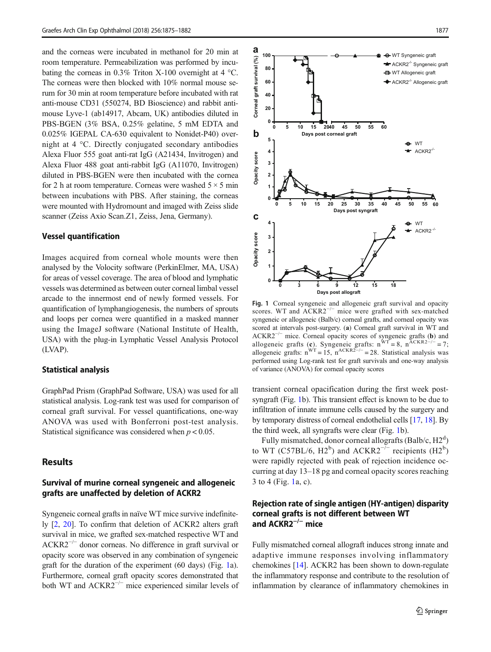<span id="page-2-0"></span>and the corneas were incubated in methanol for 20 min at room temperature. Permeabilization was performed by incubating the corneas in 0.3% Triton X-100 overnight at 4  $^{\circ}$ C. The corneas were then blocked with 10% normal mouse serum for 30 min at room temperature before incubated with rat anti-mouse CD31 (550274, BD Bioscience) and rabbit antimouse Lyve-1 (ab14917, Abcam, UK) antibodies diluted in PBS-BGEN (3% BSA, 0.25% gelatine, 5 mM EDTA and 0.025% IGEPAL CA-630 equivalent to Nonidet-P40) overnight at 4 °C. Directly conjugated secondary antibodies Alexa Fluor 555 goat anti-rat IgG (A21434, Invitrogen) and Alexa Fluor 488 goat anti-rabbit IgG (A11070, Invitrogen) diluted in PBS-BGEN were then incubated with the cornea for 2 h at room temperature. Corneas were washed  $5 \times 5$  min between incubations with PBS. After staining, the corneas were mounted with Hydromount and imaged with Zeiss slide scanner (Zeiss Axio Scan.Z1, Zeiss, Jena, Germany).

#### Vessel quantification

Images acquired from corneal whole mounts were then analysed by the Volocity software (PerkinElmer, MA, USA) for areas of vessel coverage. The area of blood and lymphatic vessels was determined as between outer corneal limbal vessel arcade to the innermost end of newly formed vessels. For quantification of lymphangiogenesis, the numbers of sprouts and loops per cornea were quantified in a masked manner using the ImageJ software (National Institute of Health, USA) with the plug-in Lymphatic Vessel Analysis Protocol (LVAP).

#### Statistical analysis

GraphPad Prism (GraphPad Software, USA) was used for all statistical analysis. Log-rank test was used for comparison of corneal graft survival. For vessel quantifications, one-way ANOVA was used with Bonferroni post-test analysis. Statistical significance was considered when  $p < 0.05$ .

## Results

# Survival of murine corneal syngeneic and allogeneic grafts are unaffected by deletion of ACKR2

Syngeneic corneal grafts in naïve WT mice survive indefinitely [[2](#page-6-0), [20\]](#page-7-0). To confirm that deletion of ACKR2 alters graft survival in mice, we grafted sex-matched respective WT and ACKR2−/<sup>−</sup> donor corneas. No difference in graft survival or opacity score was observed in any combination of syngeneic graft for the duration of the experiment (60 days) (Fig. 1a). Furthermore, corneal graft opacity scores demonstrated that both WT and ACKR2−/<sup>−</sup> mice experienced similar levels of



Fig. 1 Corneal syngeneic and allogeneic graft survival and opacity scores. WT and ACKR2<sup>-/−</sup> mice were grafted with sex-matched syngeneic or allogeneic (Balb/c) corneal grafts, and corneal opacity was scored at intervals post-surgery. (a) Corneal graft survival in WT and ACKR2−/<sup>−</sup> mice. Corneal opacity scores of syngeneic grafts (b) and allogeneic grafts (c). Syngeneic grafts:  $n<sup>WT</sup> = 8$ ,  $n<sup>ACKR2<sup>−/−</sup> = 7</sup>$ ; allogeneic grafts:  $n<sup>WT</sup> = 15$ ,  $n<sup>ACKR2</sup>−/−$  = 28. Statistical analysis was performed using Log-rank test for graft survivals and one-way analysis of variance (ANOVA) for corneal opacity scores

transient corneal opacification during the first week postsyngraft (Fig. 1b). This transient effect is known to be due to infiltration of innate immune cells caused by the surgery and by temporary distress of corneal endothelial cells [[17](#page-7-0), [18\]](#page-7-0). By the third week, all syngrafts were clear (Fig. 1b).

Fully mismatched, donor corneal allografts (Balb/c, H2<sup>d</sup>) to WT (C57BL/6, H2<sup>b</sup>) and ACKR2<sup>- $\bar{I}$ - recipients (H2<sup>b</sup>)</sup> were rapidly rejected with peak of rejection incidence occurring at day 13–18 pg and corneal opacity scores reaching 3 to 4 (Fig. 1a, c).

## Rejection rate of single antigen (HY-antigen) disparity corneal grafts is not different between WT and ACKR2−/<sup>−</sup> mice

Fully mismatched corneal allograft induces strong innate and adaptive immune responses involving inflammatory chemokines [[14](#page-7-0)]. ACKR2 has been shown to down-regulate the inflammatory response and contribute to the resolution of inflammation by clearance of inflammatory chemokines in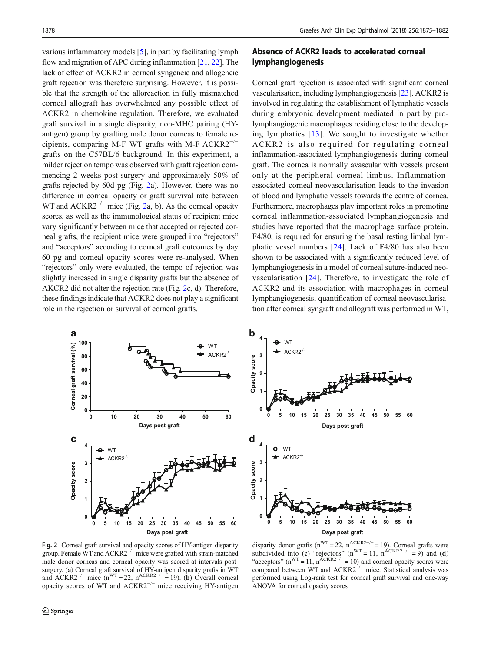<span id="page-3-0"></span>various inflammatory models [\[5](#page-6-0)], in part by facilitating lymph flow and migration of APC during inflammation [\[21](#page-7-0), [22](#page-7-0)]. The lack of effect of ACKR2 in corneal syngeneic and allogeneic graft rejection was therefore surprising. However, it is possible that the strength of the alloreaction in fully mismatched corneal allograft has overwhelmed any possible effect of ACKR2 in chemokine regulation. Therefore, we evaluated graft survival in a single disparity, non-MHC pairing (HYantigen) group by grafting male donor corneas to female recipients, comparing M-F WT grafts with M-F  $ACKR2^{-/-}$ grafts on the C57BL/6 background. In this experiment, a milder rejection tempo was observed with graft rejection commencing 2 weeks post-surgery and approximately 50% of grafts rejected by 60d pg (Fig. 2a). However, there was no difference in corneal opacity or graft survival rate between WT and ACKR2<sup> $-/-$ </sup> mice (Fig. 2a, b). As the corneal opacity scores, as well as the immunological status of recipient mice vary significantly between mice that accepted or rejected corneal grafts, the recipient mice were grouped into "rejectors" and "acceptors" according to corneal graft outcomes by day 60 pg and corneal opacity scores were re-analysed. When "rejectors" only were evaluated, the tempo of rejection was slightly increased in single disparity grafts but the absence of AKCR2 did not alter the rejection rate (Fig. 2c, d). Therefore, these findings indicate that ACKR2 does not play a significant role in the rejection or survival of corneal grafts.



# Absence of ACKR2 leads to accelerated corneal lymphangiogenesis

Corneal graft rejection is associated with significant corneal vascularisation, including lymphangiogenesis [\[23](#page-7-0)]. ACKR2 is involved in regulating the establishment of lymphatic vessels during embryonic development mediated in part by prolymphangiogenic macrophages residing close to the developing lymphatics [[13](#page-7-0)]. We sought to investigate whether ACKR2 is also required for regulating corneal inflammation-associated lymphangiogenesis during corneal graft. The cornea is normally avascular with vessels present only at the peripheral corneal limbus. Inflammationassociated corneal neovascularisation leads to the invasion of blood and lymphatic vessels towards the centre of cornea. Furthermore, macrophages play important roles in promoting corneal inflammation-associated lymphangiogenesis and studies have reported that the macrophage surface protein, F4/80, is required for ensuring the basal resting limbal lymphatic vessel numbers [[24\]](#page-7-0). Lack of F4/80 has also been shown to be associated with a significantly reduced level of lymphangiogenesis in a model of corneal suture-induced neovascularisation [\[24](#page-7-0)]. Therefore, to investigate the role of ACKR2 and its association with macrophages in corneal lymphangiogenesis, quantification of corneal neovascularisation after corneal syngraft and allograft was performed in WT,





Fig. 2 Corneal graft survival and opacity scores of HY-antigen disparity group. Female WT and ACKR2−/<sup>−</sup> mice were grafted with strain-matched male donor corneas and corneal opacity was scored at intervals postsurgery. (a) Corneal graft survival of HY-antigen disparity grafts in WT and ACKR2<sup>-/−</sup> mice (n<sup>WT</sup> = 22, n<sup>ACKR2-/−</sup> = 19). (b) Overall corneal opacity scores of WT and ACKR2−/<sup>−</sup> mice receiving HY-antigen

disparity donor grafts (n<sup>WT</sup> = 22, n<sup>ACKR2−/−</sup> = 19). Corneal grafts were subdivided into (c) "rejectors" (n<sup>WT</sup> = 11, n<sup>ACKR2−/−</sup> = 9) and (d) "acceptors" (n<sup>WT</sup> = 11, n<sup>ACKR2−/−</sup> = 10) and corneal opacity scores were compared between WT and ACKR2−/<sup>−</sup> mice. Statistical analysis was performed using Log-rank test for corneal graft survival and one-way ANOVA for corneal opacity scores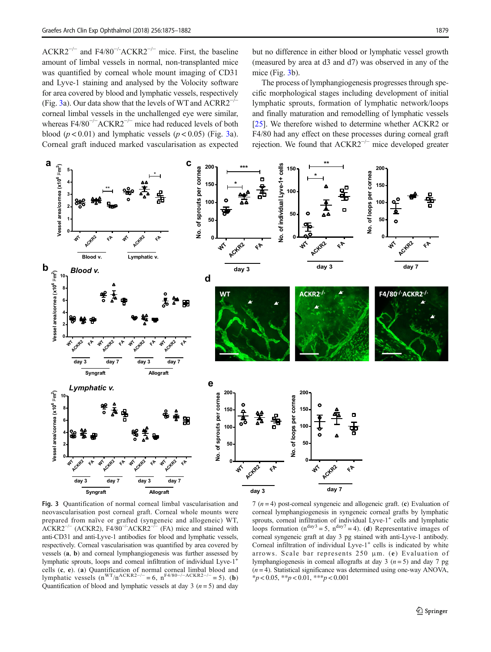<span id="page-4-0"></span> $ACKR2^{-/-}$  and F4/80<sup>-/-</sup>ACKR2<sup>-/-</sup> mice. First, the baseline amount of limbal vessels in normal, non-transplanted mice was quantified by corneal whole mount imaging of CD31 and Lyve-1 staining and analysed by the Volocity software for area covered by blood and lymphatic vessels, respectively (Fig. 3a). Our data show that the levels of WT and ACRR2−/<sup>−</sup> corneal limbal vessels in the unchallenged eye were similar, whereas F4/80<sup>-/-</sup>ACKR2<sup>-/-</sup> mice had reduced levels of both blood ( $p < 0.01$ ) and lymphatic vessels ( $p < 0.05$ ) (Fig. 3a). Corneal graft induced marked vascularisation as expected

but no difference in either blood or lymphatic vessel growth (measured by area at d3 and d7) was observed in any of the mice (Fig. 3b).

The process of lymphangiogenesis progresses through specific morphological stages including development of initial lymphatic sprouts, formation of lymphatic network/loops and finally maturation and remodelling of lymphatic vessels [\[25](#page-7-0)]. We therefore wished to determine whether ACKR2 or F4/80 had any effect on these processes during corneal graft rejection. We found that ACKR2−/<sup>−</sup> mice developed greater



Fig. 3 Quantification of normal corneal limbal vascularisation and neovascularisation post corneal graft. Corneal whole mounts were prepared from naïve or grafted (syngeneic and allogeneic) WT,  $ACKR2^{-/-}$  (ACKR2), F4/80<sup>-/-</sup>ACKR2<sup>-/-</sup> (FA) mice and stained with anti-CD31 and anti-Lyve-1 antibodies for blood and lymphatic vessels, respectively. Corneal vascularisation was quantified by area covered by vessels (a, b) and corneal lymphangiogenesis was further assessed by lymphatic sprouts, loops and corneal infiltration of individual Lyve-1+ cells (c, e). (a) Quantification of normal corneal limbal blood and lymphatic vessels  $(n^{WT}/n^{ACKR2-/-} = 6, n^{F4/80-/-ACKR2-/-} = 5)$ . (b) Quantification of blood and lymphatic vessels at day 3 ( $n = 5$ ) and day

7 ( $n = 4$ ) post-corneal syngeneic and allogeneic graft. (c) Evaluation of corneal lymphangiogenesis in syngeneic corneal grafts by lymphatic sprouts, corneal infiltration of individual Lyve-1<sup>+</sup> cells and lymphatic loops formation ( $n^{day3} = 5$ ,  $n^{day7} = 4$ ). (d) Representative images of corneal syngeneic graft at day 3 pg stained with anti-Lyve-1 antibody. Corneal infiltration of individual Lyve- $1^+$  cells is indicated by white arrows. Scale bar represents 250 μm. (e) Evaluation of lymphangiogenesis in corneal allografts at day 3 ( $n = 5$ ) and day 7 pg  $(n = 4)$ . Statistical significance was determined using one-way ANOVA,  $*_{p}$  < 0.05,  $*_{p}$  < 0.01,  $*_{p}$  < 0.001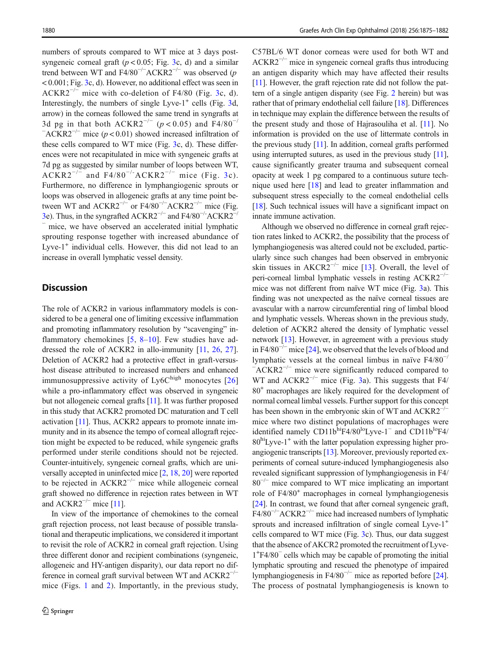numbers of sprouts compared to WT mice at 3 days postsyngeneic corneal graft ( $p < 0.05$ ; Fig. [3c](#page-4-0), d) and a similar trend between WT and F4/80<sup>-/-</sup>ACKR2<sup>-/-</sup> was observed (p < 0.001; Fig. [3c](#page-4-0), d). However, no additional effect was seen in  $ACKR2^{-/-}$  mice with co-deletion of F4/80 (Fig. [3c](#page-4-0), d). Interestingly, the numbers of single Lyve- $1^+$  cells (Fig. [3d](#page-4-0), arrow) in the corneas followed the same trend in syngrafts at 3d pg in that both ACKR2<sup>-/-</sup> (p < 0.05) and F4/80<sup>-/</sup>  $-ACKR2^{-/-}$  mice (p < 0.01) showed increased infiltration of these cells compared to WT mice (Fig. [3c](#page-4-0), d). These differences were not recapitulated in mice with syngeneic grafts at 7d pg as suggested by similar number of loops between WT,  $ACKR2^{-/-}$  and F4/80<sup>-/-</sup>ACKR2<sup>-/-</sup> mice (Fig. [3c](#page-4-0)). Furthermore, no difference in lymphangiogenic sprouts or loops was observed in allogeneic grafts at any time point between WT and  $ACKR2^{-/-}$  or F4/80<sup>-/-</sup>ACKR2<sup>-/-</sup> mice (Fig. [3e](#page-4-0)). Thus, in the syngrafted  $ACKR2^{-/-}$  and  $F4/80^{-/-}ACKR2^{-}$ mice, we have observed an accelerated initial lymphatic sprouting response together with increased abundance of Lyve- $1^+$  individual cells. However, this did not lead to an increase in overall lymphatic vessel density.

# **Discussion**

The role of ACKR2 in various inflammatory models is considered to be a general one of limiting excessive inflammation and promoting inflammatory resolution by "scavenging" inflammatory chemokines  $[5, 8-10]$  $[5, 8-10]$  $[5, 8-10]$  $[5, 8-10]$  $[5, 8-10]$  $[5, 8-10]$ . Few studies have addressed the role of ACKR2 in allo-immunity [[11](#page-7-0), [26](#page-7-0), [27](#page-7-0)]. Deletion of ACKR2 had a protective effect in graft-versushost disease attributed to increased numbers and enhanced immunosuppressive activity of  $Ly 6C<sup>high</sup>$  monocytes  $[26]$  $[26]$ while a pro-inflammatory effect was observed in syngeneic but not allogeneic corneal grafts [\[11\]](#page-7-0). It was further proposed in this study that ACKR2 promoted DC maturation and T cell activation [[11](#page-7-0)]. Thus, ACKR2 appears to promote innate immunity and in its absence the tempo of corneal allograft rejection might be expected to be reduced, while syngeneic grafts performed under sterile conditions should not be rejected. Counter-intuitively, syngeneic corneal grafts, which are universally accepted in uninfected mice [[2,](#page-6-0) [18](#page-7-0), [20\]](#page-7-0) were reported to be rejected in  $ACKR2^{-/-}$  mice while allogeneic corneal graft showed no difference in rejection rates between in WT and  $ACKR2^{-/-}$  mice [\[11\]](#page-7-0).

In view of the importance of chemokines to the corneal graft rejection process, not least because of possible translational and therapeutic implications, we considered it important to revisit the role of ACKR2 in corneal graft rejection. Using three different donor and recipient combinations (syngeneic, allogeneic and HY-antigen disparity), our data report no difference in corneal graft survival between WT and  $ACKR2^{-/-}$ mice (Figs. [1](#page-2-0) and [2\)](#page-3-0). Importantly, in the previous study, C57BL/6 WT donor corneas were used for both WT and  $ACKR2^{-/-}$  mice in syngeneic corneal grafts thus introducing an antigen disparity which may have affected their results [\[11\]](#page-7-0). However, the graft rejection rate did not follow the pattern of a single antigen disparity (see Fig. [2](#page-3-0) herein) but was rather that of primary endothelial cell failure [[18\]](#page-7-0). Differences in technique may explain the difference between the results of the present study and those of Hajrasouliha et al. [\[11\]](#page-7-0). No information is provided on the use of littermate controls in the previous study [\[11\]](#page-7-0). In addition, corneal grafts performed using interrupted sutures, as used in the previous study [\[11\]](#page-7-0), cause significantly greater trauma and subsequent corneal opacity at week 1 pg compared to a continuous suture technique used here [\[18\]](#page-7-0) and lead to greater inflammation and subsequent stress especially to the corneal endothelial cells [\[18](#page-7-0)]. Such technical issues will have a significant impact on innate immune activation.

Although we observed no difference in corneal graft rejection rates linked to ACKR2, the possibility that the process of lymphangiogenesis was altered could not be excluded, particularly since such changes had been observed in embryonic skin tissues in  $AKCR2^{-/-}$  mice [[13\]](#page-7-0). Overall, the level of peri-corneal limbal lymphatic vessels in resting ACKR2−/<sup>−</sup> mice was not different from naïve WT mice (Fig. [3a](#page-4-0)). This finding was not unexpected as the naïve corneal tissues are avascular with a narrow circumferential ring of limbal blood and lymphatic vessels. Whereas shown in the previous study, deletion of ACKR2 altered the density of lymphatic vessel network [\[13](#page-7-0)]. However, in agreement with a previous study in F4/80<sup> $-/-$ </sup> mice [\[24\]](#page-7-0), we observed that the levels of blood and lymphatic vessels at the corneal limbus in naïve F4/80−/ − ACKR2−/<sup>−</sup> mice were significantly reduced compared to WT and ACKR2<sup> $-/-$ </sup> mice (Fig. [3](#page-4-0)a). This suggests that F4/ 80+ macrophages are likely required for the development of normal corneal limbal vessels. Further support for this concept has been shown in the embryonic skin of WT and ACKR2<sup>−/−</sup> mice where two distinct populations of macrophages were identified namely CD11b<sup>hi</sup>F4/80<sup>lo</sup>Lyve-1<sup>−</sup> and CD11b<sup>lo</sup>F4/  $80<sup>hi</sup>$ Lyve-1<sup>+</sup> with the latter population expressing higher proangiogenic transcripts [[13](#page-7-0)]. Moreover, previously reported experiments of corneal suture-induced lymphangiogenesis also revealed significant suppression of lymphangiogenesis in F4/ 80−/<sup>−</sup> mice compared to WT mice implicating an important role of F4/80<sup>+</sup> macrophages in corneal lymphangiogenesis [\[24](#page-7-0)]. In contrast, we found that after corneal syngeneic graft, F4/80−/<sup>−</sup> ACKR2−/<sup>−</sup> mice had increased numbers of lymphatic sprouts and increased infiltration of single corneal Lyve-1<sup>+</sup> cells compared to WT mice (Fig. [3](#page-4-0)c). Thus, our data suggest that the absence of AKCR2 promoted the recruitment of Lyve-1+ F4/80<sup>−</sup> cells which may be capable of promoting the initial lymphatic sprouting and rescued the phenotype of impaired lymphangiogenesis in F4/80−/<sup>−</sup> mice as reported before [[24\]](#page-7-0). The process of postnatal lymphangiogenesis is known to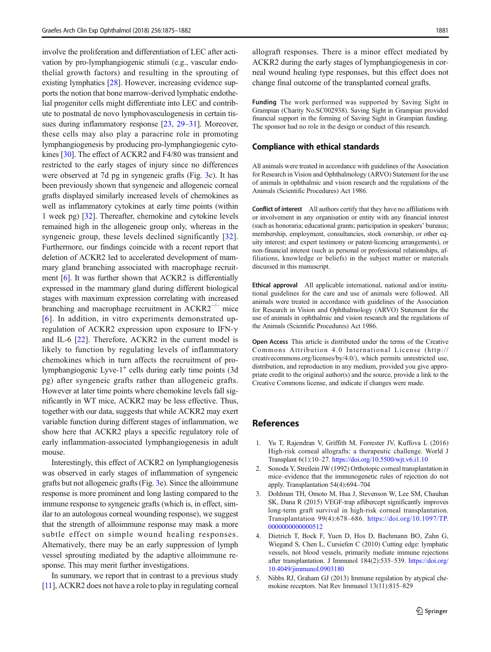<span id="page-6-0"></span>involve the proliferation and differentiation of LEC after activation by pro-lymphangiogenic stimuli (e.g., vascular endothelial growth factors) and resulting in the sprouting of existing lymphatics [\[28\]](#page-7-0). However, increasing evidence supports the notion that bone marrow-derived lymphatic endothelial progenitor cells might differentiate into LEC and contribute to postnatal de novo lymphovasculogenesis in certain tissues during inflammatory response [\[23](#page-7-0), [29](#page-7-0)–[31](#page-7-0)]. Moreover, these cells may also play a paracrine role in promoting lymphangiogenesis by producing pro-lymphangiogenic cytokines [[30\]](#page-7-0). The effect of ACKR2 and F4/80 was transient and restricted to the early stages of injury since no differences were observed at 7d pg in syngeneic grafts (Fig. [3c](#page-4-0)). It has been previously shown that syngeneic and allogeneic corneal grafts displayed similarly increased levels of chemokines as well as inflammatory cytokines at early time points (within 1 week pg) [[32](#page-7-0)]. Thereafter, chemokine and cytokine levels remained high in the allogeneic group only, whereas in the syngeneic group, these levels declined significantly [\[32](#page-7-0)]. Furthermore, our findings coincide with a recent report that deletion of ACKR2 led to accelerated development of mammary gland branching associated with macrophage recruitment [[6\]](#page-7-0). It was further shown that ACKR2 is differentially expressed in the mammary gland during different biological stages with maximum expression correlating with increased branching and macrophage recruitment in ACKR2−/<sup>−</sup> mice [\[6\]](#page-7-0). In addition, in vitro experiments demonstrated upregulation of ACKR2 expression upon exposure to IFN-γ and IL-6 [[22\]](#page-7-0). Therefore, ACKR2 in the current model is likely to function by regulating levels of inflammatory chemokines which in turn affects the recruitment of prolymphangiogenic Lyve-1<sup>+</sup> cells during early time points (3d) pg) after syngeneic grafts rather than allogeneic grafts. However at later time points where chemokine levels fall significantly in WT mice, ACKR2 may be less effective. Thus, together with our data, suggests that while ACKR2 may exert variable function during different stages of inflammation, we show here that ACKR2 plays a specific regulatory role of early inflammation-associated lymphangiogenesis in adult mouse.

Interestingly, this effect of ACKR2 on lymphangiogenesis was observed in early stages of inflammation of syngeneic grafts but not allogeneic grafts (Fig. [3e](#page-4-0)). Since the alloimmune response is more prominent and long lasting compared to the immune response to syngeneic grafts (which is, in effect, similar to an autologous corneal wounding response), we suggest that the strength of alloimmune response may mask a more subtle effect on simple wound healing responses. Alternatively, there may be an early suppression of lymph vessel sprouting mediated by the adaptive alloimmune response. This may merit further investigations.

In summary, we report that in contrast to a previous study [\[11\]](#page-7-0), ACKR2 does not have a role to play in regulating corneal allograft responses. There is a minor effect mediated by ACKR2 during the early stages of lymphangiogenesis in corneal wound healing type responses, but this effect does not change final outcome of the transplanted corneal grafts.

Funding The work performed was supported by Saving Sight in Grampian (Charity No.SC002938). Saving Sight in Grampian provided financial support in the forming of Saving Sight in Grampian funding. The sponsor had no role in the design or conduct of this research.

#### Compliance with ethical standards

All animals were treated in accordance with guidelines of the Association for Research in Vision and Ophthalmology (ARVO) Statement for the use of animals in ophthalmic and vision research and the regulations of the Animals (Scientific Procedures) Act 1986.

Conflict of interest All authors certify that they have no affiliations with or involvement in any organisation or entity with any financial interest (such as honoraria; educational grants; participation in speakers' bureaus; membership, employment, consultancies, stock ownership, or other equity interest; and expert testimony or patent-licencing arrangements), or non-financial interest (such as personal or professional relationships, affiliations, knowledge or beliefs) in the subject matter or materials discussed in this manuscript.

Ethical approval All applicable international, national and/or institutional guidelines for the care and use of animals were followed. All animals were treated in accordance with guidelines of the Association for Research in Vision and Ophthalmology (ARVO) Statement for the use of animals in ophthalmic and vision research and the regulations of the Animals (Scientific Procedures) Act 1986.

Open Access This article is distributed under the terms of the Creative Commons Attribution 4.0 International License (http:// creativecommons.org/licenses/by/4.0/), which permits unrestricted use, distribution, and reproduction in any medium, provided you give appropriate credit to the original author(s) and the source, provide a link to the Creative Commons license, and indicate if changes were made.

## **References**

- 1. Yu T, Rajendran V, Griffith M, Forrester JV, Kuffova L (2016) High-risk corneal allografts: a therapeutic challenge. World J Transplant 6(1):10–27. <https://doi.org/10.5500/wjt.v6.i1.10>
- 2. Sonoda Y, Streilein JW (1992) Orthotopic corneal transplantation in mice–evidence that the immunogenetic rules of rejection do not apply. Transplantation 54(4):694–704
- 3. Dohlman TH, Omoto M, Hua J, Stevenson W, Lee SM, Chauhan SK, Dana R (2015) VEGF-trap aflibercept significantly improves long-term graft survival in high-risk corneal transplantation. Transplantation 99(4):678–686. [https://doi.org/10.1097/TP.](https://doi.org/10.1097/TP.0000000000000512) [0000000000000512](https://doi.org/10.1097/TP.0000000000000512)
- 4. Dietrich T, Bock F, Yuen D, Hos D, Bachmann BO, Zahn G, Wiegand S, Chen L, Cursiefen C (2010) Cutting edge: lymphatic vessels, not blood vessels, primarily mediate immune rejections after transplantation. J Immunol 184(2):535–539. [https://doi.org/](https://doi.org/10.4049/jimmunol.0903180) [10.4049/jimmunol.0903180](https://doi.org/10.4049/jimmunol.0903180)
- 5. Nibbs RJ, Graham GJ (2013) Immune regulation by atypical chemokine receptors. Nat Rev Immunol 13(11):815–829